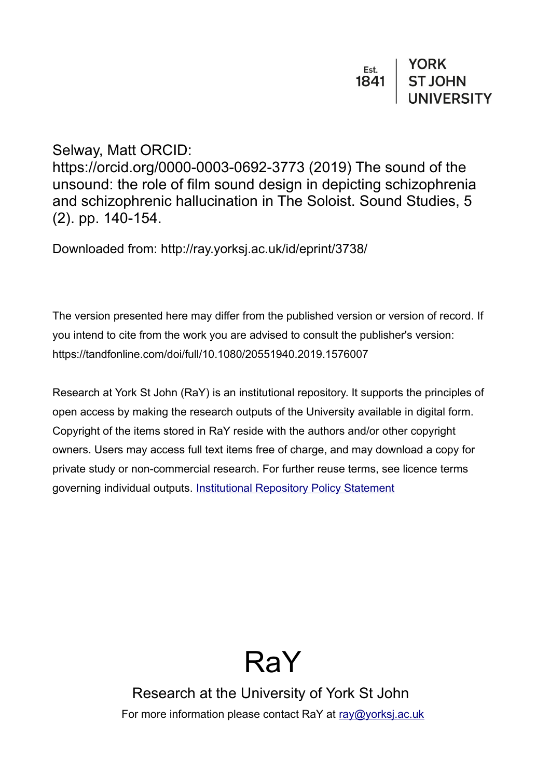Selway, Matt ORCID:

https://orcid.org/0000-0003-0692-3773 (2019) The sound of the unsound: the role of film sound design in depicting schizophrenia and schizophrenic hallucination in The Soloist. Sound Studies, 5 (2). pp. 140-154.

Downloaded from: http://ray.yorksj.ac.uk/id/eprint/3738/

The version presented here may differ from the published version or version of record. If you intend to cite from the work you are advised to consult the publisher's version: https://tandfonline.com/doi/full/10.1080/20551940.2019.1576007

Research at York St John (RaY) is an institutional repository. It supports the principles of open access by making the research outputs of the University available in digital form. Copyright of the items stored in RaY reside with the authors and/or other copyright owners. Users may access full text items free of charge, and may download a copy for private study or non-commercial research. For further reuse terms, see licence terms governing individual outputs. [Institutional Repository Policy Statement](https://www.yorksj.ac.uk/ils/repository-policies/)



Research at the University of York St John For more information please contact RaY at [ray@yorksj.ac.uk](mailto:ray@yorksj.ac.uk)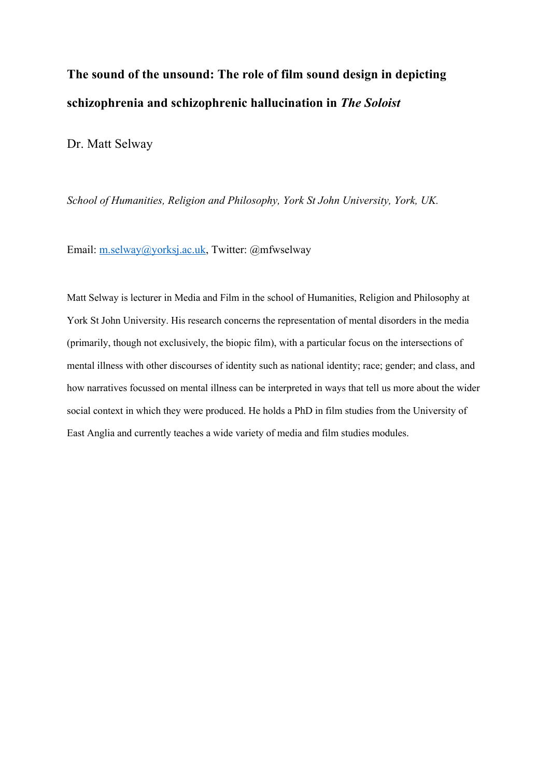# **The sound of the unsound: The role of film sound design in depicting schizophrenia and schizophrenic hallucination in** *The Soloist*

Dr. Matt Selway

*School of Humanities, Religion and Philosophy, York St John University, York, UK.*

Email: m.selway@yorksj.ac.uk, Twitter: @mfwselway

Matt Selway is lecturer in Media and Film in the school of Humanities, Religion and Philosophy at York St John University. His research concerns the representation of mental disorders in the media (primarily, though not exclusively, the biopic film), with a particular focus on the intersections of mental illness with other discourses of identity such as national identity; race; gender; and class, and how narratives focussed on mental illness can be interpreted in ways that tell us more about the wider social context in which they were produced. He holds a PhD in film studies from the University of East Anglia and currently teaches a wide variety of media and film studies modules.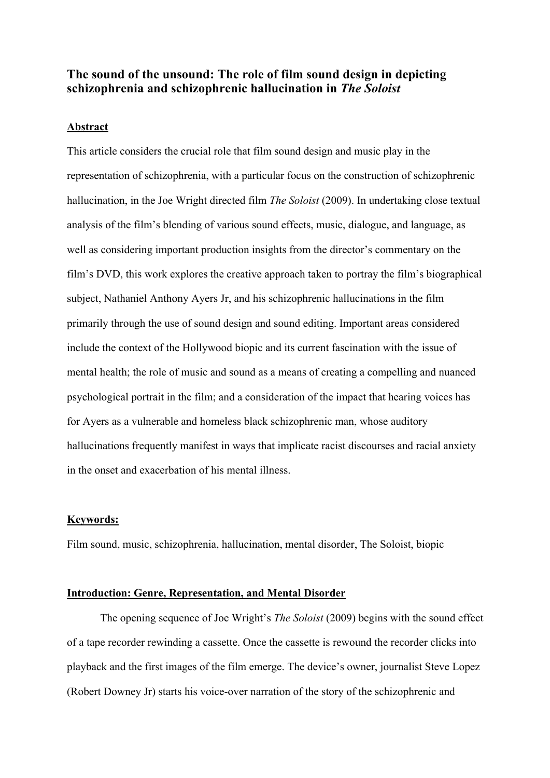# **The sound of the unsound: The role of film sound design in depicting schizophrenia and schizophrenic hallucination in** *The Soloist*

#### **Abstract**

This article considers the crucial role that film sound design and music play in the representation of schizophrenia, with a particular focus on the construction of schizophrenic hallucination, in the Joe Wright directed film *The Soloist* (2009). In undertaking close textual analysis of the film's blending of various sound effects, music, dialogue, and language, as well as considering important production insights from the director's commentary on the film's DVD, this work explores the creative approach taken to portray the film's biographical subject, Nathaniel Anthony Ayers Jr, and his schizophrenic hallucinations in the film primarily through the use of sound design and sound editing. Important areas considered include the context of the Hollywood biopic and its current fascination with the issue of mental health; the role of music and sound as a means of creating a compelling and nuanced psychological portrait in the film; and a consideration of the impact that hearing voices has for Ayers as a vulnerable and homeless black schizophrenic man, whose auditory hallucinations frequently manifest in ways that implicate racist discourses and racial anxiety in the onset and exacerbation of his mental illness.

#### **Keywords:**

Film sound, music, schizophrenia, hallucination, mental disorder, The Soloist, biopic

#### **Introduction: Genre, Representation, and Mental Disorder**

The opening sequence of Joe Wright's *The Soloist* (2009) begins with the sound effect of a tape recorder rewinding a cassette. Once the cassette is rewound the recorder clicks into playback and the first images of the film emerge. The device's owner, journalist Steve Lopez (Robert Downey Jr) starts his voice-over narration of the story of the schizophrenic and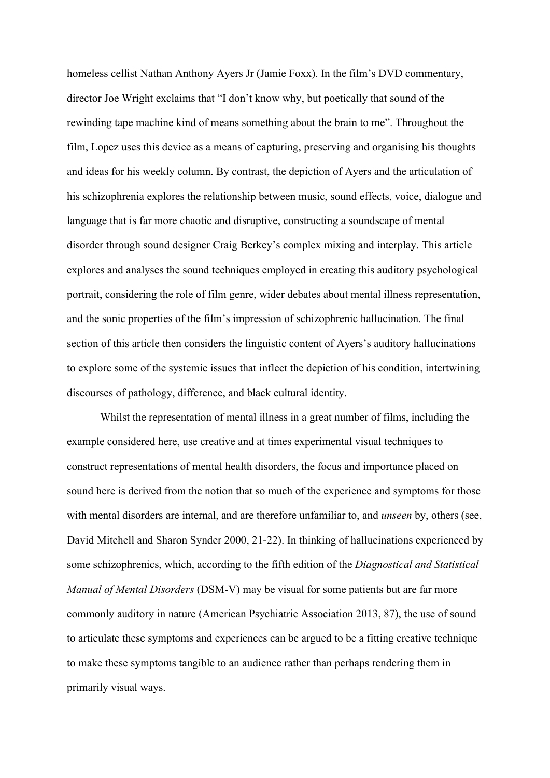homeless cellist Nathan Anthony Ayers Jr (Jamie Foxx). In the film's DVD commentary, director Joe Wright exclaims that "I don't know why, but poetically that sound of the rewinding tape machine kind of means something about the brain to me". Throughout the film, Lopez uses this device as a means of capturing, preserving and organising his thoughts and ideas for his weekly column. By contrast, the depiction of Ayers and the articulation of his schizophrenia explores the relationship between music, sound effects, voice, dialogue and language that is far more chaotic and disruptive, constructing a soundscape of mental disorder through sound designer Craig Berkey's complex mixing and interplay. This article explores and analyses the sound techniques employed in creating this auditory psychological portrait, considering the role of film genre, wider debates about mental illness representation, and the sonic properties of the film's impression of schizophrenic hallucination. The final section of this article then considers the linguistic content of Ayers's auditory hallucinations to explore some of the systemic issues that inflect the depiction of his condition, intertwining discourses of pathology, difference, and black cultural identity.

Whilst the representation of mental illness in a great number of films, including the example considered here, use creative and at times experimental visual techniques to construct representations of mental health disorders, the focus and importance placed on sound here is derived from the notion that so much of the experience and symptoms for those with mental disorders are internal, and are therefore unfamiliar to, and *unseen* by, others (see, David Mitchell and Sharon Synder 2000, 21-22). In thinking of hallucinations experienced by some schizophrenics, which, according to the fifth edition of the *Diagnostical and Statistical Manual of Mental Disorders* (DSM-V) may be visual for some patients but are far more commonly auditory in nature (American Psychiatric Association 2013, 87), the use of sound to articulate these symptoms and experiences can be argued to be a fitting creative technique to make these symptoms tangible to an audience rather than perhaps rendering them in primarily visual ways.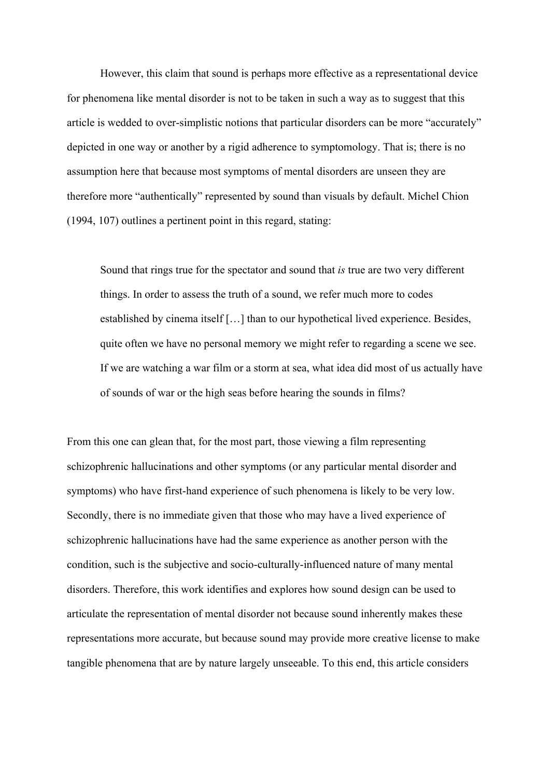However, this claim that sound is perhaps more effective as a representational device for phenomena like mental disorder is not to be taken in such a way as to suggest that this article is wedded to over-simplistic notions that particular disorders can be more "accurately" depicted in one way or another by a rigid adherence to symptomology. That is; there is no assumption here that because most symptoms of mental disorders are unseen they are therefore more "authentically" represented by sound than visuals by default. Michel Chion (1994, 107) outlines a pertinent point in this regard, stating:

Sound that rings true for the spectator and sound that *is* true are two very different things. In order to assess the truth of a sound, we refer much more to codes established by cinema itself […] than to our hypothetical lived experience. Besides, quite often we have no personal memory we might refer to regarding a scene we see. If we are watching a war film or a storm at sea, what idea did most of us actually have of sounds of war or the high seas before hearing the sounds in films?

From this one can glean that, for the most part, those viewing a film representing schizophrenic hallucinations and other symptoms (or any particular mental disorder and symptoms) who have first-hand experience of such phenomena is likely to be very low. Secondly, there is no immediate given that those who may have a lived experience of schizophrenic hallucinations have had the same experience as another person with the condition, such is the subjective and socio-culturally-influenced nature of many mental disorders. Therefore, this work identifies and explores how sound design can be used to articulate the representation of mental disorder not because sound inherently makes these representations more accurate, but because sound may provide more creative license to make tangible phenomena that are by nature largely unseeable. To this end, this article considers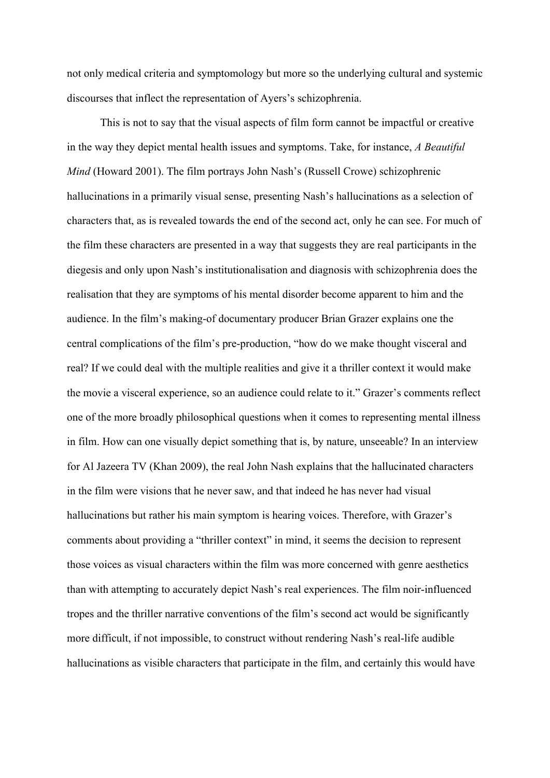not only medical criteria and symptomology but more so the underlying cultural and systemic discourses that inflect the representation of Ayers's schizophrenia.

This is not to say that the visual aspects of film form cannot be impactful or creative in the way they depict mental health issues and symptoms. Take, for instance, *A Beautiful Mind* (Howard 2001). The film portrays John Nash's (Russell Crowe) schizophrenic hallucinations in a primarily visual sense, presenting Nash's hallucinations as a selection of characters that, as is revealed towards the end of the second act, only he can see. For much of the film these characters are presented in a way that suggests they are real participants in the diegesis and only upon Nash's institutionalisation and diagnosis with schizophrenia does the realisation that they are symptoms of his mental disorder become apparent to him and the audience. In the film's making-of documentary producer Brian Grazer explains one the central complications of the film's pre-production, "how do we make thought visceral and real? If we could deal with the multiple realities and give it a thriller context it would make the movie a visceral experience, so an audience could relate to it." Grazer's comments reflect one of the more broadly philosophical questions when it comes to representing mental illness in film. How can one visually depict something that is, by nature, unseeable? In an interview for Al Jazeera TV (Khan 2009), the real John Nash explains that the hallucinated characters in the film were visions that he never saw, and that indeed he has never had visual hallucinations but rather his main symptom is hearing voices. Therefore, with Grazer's comments about providing a "thriller context" in mind, it seems the decision to represent those voices as visual characters within the film was more concerned with genre aesthetics than with attempting to accurately depict Nash's real experiences. The film noir-influenced tropes and the thriller narrative conventions of the film's second act would be significantly more difficult, if not impossible, to construct without rendering Nash's real-life audible hallucinations as visible characters that participate in the film, and certainly this would have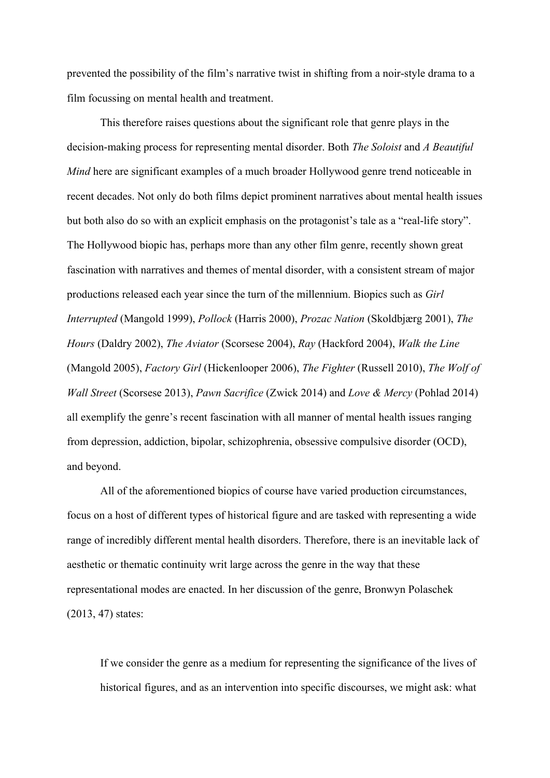prevented the possibility of the film's narrative twist in shifting from a noir-style drama to a film focussing on mental health and treatment.

This therefore raises questions about the significant role that genre plays in the decision-making process for representing mental disorder. Both *The Soloist* and *A Beautiful Mind* here are significant examples of a much broader Hollywood genre trend noticeable in recent decades. Not only do both films depict prominent narratives about mental health issues but both also do so with an explicit emphasis on the protagonist's tale as a "real-life story". The Hollywood biopic has, perhaps more than any other film genre, recently shown great fascination with narratives and themes of mental disorder, with a consistent stream of major productions released each year since the turn of the millennium. Biopics such as *Girl Interrupted* (Mangold 1999), *Pollock* (Harris 2000), *Prozac Nation* (Skoldbjærg 2001), *The Hours* (Daldry 2002), *The Aviator* (Scorsese 2004), *Ray* (Hackford 2004), *Walk the Line* (Mangold 2005), *Factory Girl* (Hickenlooper 2006), *The Fighter* (Russell 2010), *The Wolf of Wall Street* (Scorsese 2013), *Pawn Sacrifice* (Zwick 2014) and *Love & Mercy* (Pohlad 2014) all exemplify the genre's recent fascination with all manner of mental health issues ranging from depression, addiction, bipolar, schizophrenia, obsessive compulsive disorder (OCD), and beyond.

All of the aforementioned biopics of course have varied production circumstances, focus on a host of different types of historical figure and are tasked with representing a wide range of incredibly different mental health disorders. Therefore, there is an inevitable lack of aesthetic or thematic continuity writ large across the genre in the way that these representational modes are enacted. In her discussion of the genre, Bronwyn Polaschek (2013, 47) states:

If we consider the genre as a medium for representing the significance of the lives of historical figures, and as an intervention into specific discourses, we might ask: what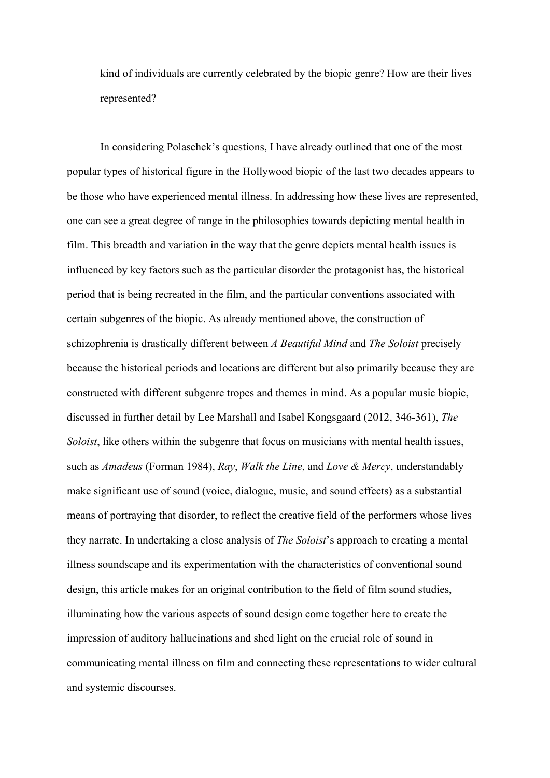kind of individuals are currently celebrated by the biopic genre? How are their lives represented?

In considering Polaschek's questions, I have already outlined that one of the most popular types of historical figure in the Hollywood biopic of the last two decades appears to be those who have experienced mental illness. In addressing how these lives are represented, one can see a great degree of range in the philosophies towards depicting mental health in film. This breadth and variation in the way that the genre depicts mental health issues is influenced by key factors such as the particular disorder the protagonist has, the historical period that is being recreated in the film, and the particular conventions associated with certain subgenres of the biopic. As already mentioned above, the construction of schizophrenia is drastically different between *A Beautiful Mind* and *The Soloist* precisely because the historical periods and locations are different but also primarily because they are constructed with different subgenre tropes and themes in mind. As a popular music biopic, discussed in further detail by Lee Marshall and Isabel Kongsgaard (2012, 346-361), *The Soloist*, like others within the subgenre that focus on musicians with mental health issues, such as *Amadeus* (Forman 1984), *Ray*, *Walk the Line*, and *Love & Mercy*, understandably make significant use of sound (voice, dialogue, music, and sound effects) as a substantial means of portraying that disorder, to reflect the creative field of the performers whose lives they narrate. In undertaking a close analysis of *The Soloist*'s approach to creating a mental illness soundscape and its experimentation with the characteristics of conventional sound design, this article makes for an original contribution to the field of film sound studies, illuminating how the various aspects of sound design come together here to create the impression of auditory hallucinations and shed light on the crucial role of sound in communicating mental illness on film and connecting these representations to wider cultural and systemic discourses.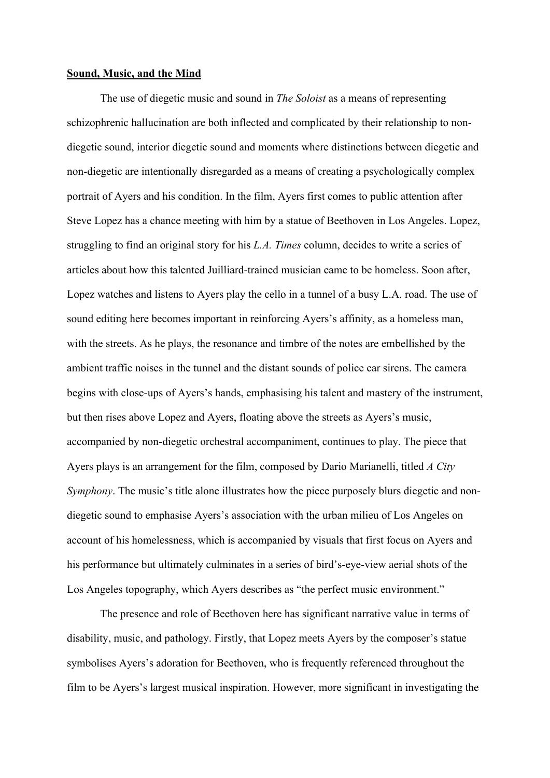#### **Sound, Music, and the Mind**

The use of diegetic music and sound in *The Soloist* as a means of representing schizophrenic hallucination are both inflected and complicated by their relationship to nondiegetic sound, interior diegetic sound and moments where distinctions between diegetic and non-diegetic are intentionally disregarded as a means of creating a psychologically complex portrait of Ayers and his condition. In the film, Ayers first comes to public attention after Steve Lopez has a chance meeting with him by a statue of Beethoven in Los Angeles. Lopez, struggling to find an original story for his *L.A. Times* column, decides to write a series of articles about how this talented Juilliard-trained musician came to be homeless. Soon after, Lopez watches and listens to Ayers play the cello in a tunnel of a busy L.A. road. The use of sound editing here becomes important in reinforcing Ayers's affinity, as a homeless man, with the streets. As he plays, the resonance and timbre of the notes are embellished by the ambient traffic noises in the tunnel and the distant sounds of police car sirens. The camera begins with close-ups of Ayers's hands, emphasising his talent and mastery of the instrument, but then rises above Lopez and Ayers, floating above the streets as Ayers's music, accompanied by non-diegetic orchestral accompaniment, continues to play. The piece that Ayers plays is an arrangement for the film, composed by Dario Marianelli, titled *A City Symphony*. The music's title alone illustrates how the piece purposely blurs diegetic and nondiegetic sound to emphasise Ayers's association with the urban milieu of Los Angeles on account of his homelessness, which is accompanied by visuals that first focus on Ayers and his performance but ultimately culminates in a series of bird's-eye-view aerial shots of the Los Angeles topography, which Ayers describes as "the perfect music environment."

The presence and role of Beethoven here has significant narrative value in terms of disability, music, and pathology. Firstly, that Lopez meets Ayers by the composer's statue symbolises Ayers's adoration for Beethoven, who is frequently referenced throughout the film to be Ayers's largest musical inspiration. However, more significant in investigating the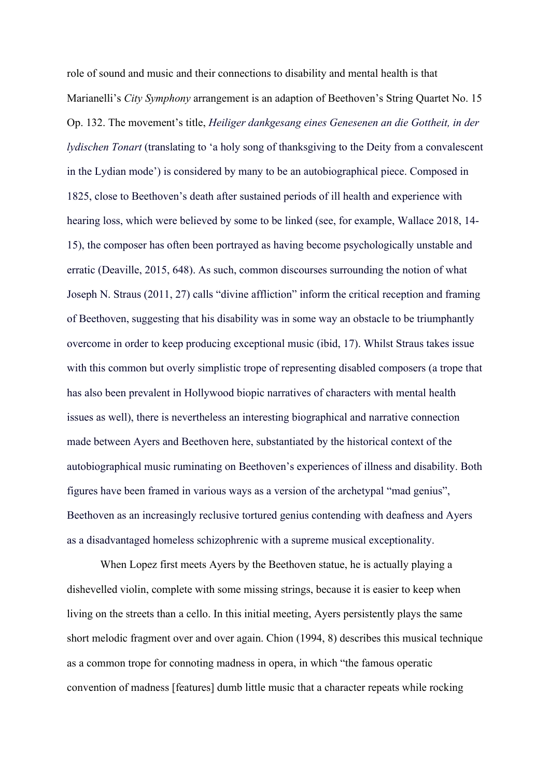role of sound and music and their connections to disability and mental health is that Marianelli's *City Symphony* arrangement is an adaption of Beethoven's String Quartet No. 15 Op. 132. The movement's title, *Heiliger dankgesang eines Genesenen an die Gottheit, in der lydischen Tonart* (translating to 'a holy song of thanksgiving to the Deity from a convalescent in the Lydian mode') is considered by many to be an autobiographical piece. Composed in 1825, close to Beethoven's death after sustained periods of ill health and experience with hearing loss, which were believed by some to be linked (see, for example, Wallace 2018, 14- 15), the composer has often been portrayed as having become psychologically unstable and erratic (Deaville, 2015, 648). As such, common discourses surrounding the notion of what Joseph N. Straus (2011, 27) calls "divine affliction" inform the critical reception and framing of Beethoven, suggesting that his disability was in some way an obstacle to be triumphantly overcome in order to keep producing exceptional music (ibid, 17). Whilst Straus takes issue with this common but overly simplistic trope of representing disabled composers (a trope that has also been prevalent in Hollywood biopic narratives of characters with mental health issues as well), there is nevertheless an interesting biographical and narrative connection made between Ayers and Beethoven here, substantiated by the historical context of the autobiographical music ruminating on Beethoven's experiences of illness and disability. Both figures have been framed in various ways as a version of the archetypal "mad genius", Beethoven as an increasingly reclusive tortured genius contending with deafness and Ayers as a disadvantaged homeless schizophrenic with a supreme musical exceptionality.

When Lopez first meets Ayers by the Beethoven statue, he is actually playing a dishevelled violin, complete with some missing strings, because it is easier to keep when living on the streets than a cello. In this initial meeting, Ayers persistently plays the same short melodic fragment over and over again. Chion (1994, 8) describes this musical technique as a common trope for connoting madness in opera, in which "the famous operatic convention of madness [features] dumb little music that a character repeats while rocking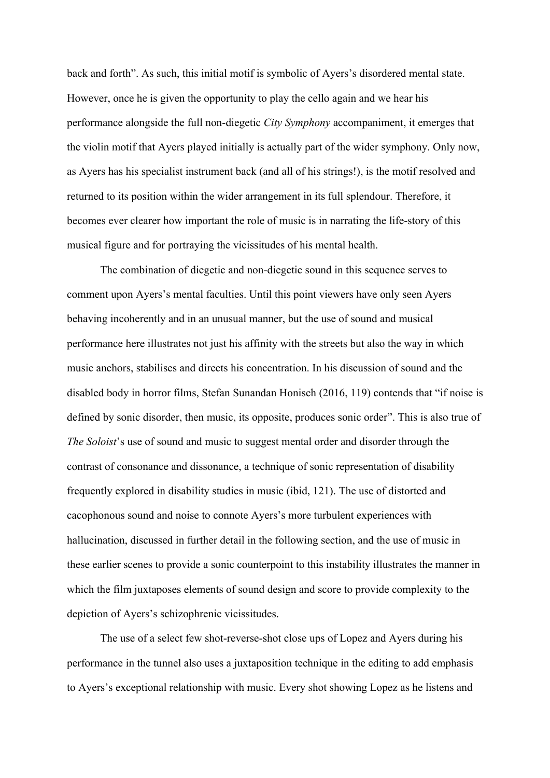back and forth". As such, this initial motif is symbolic of Ayers's disordered mental state. However, once he is given the opportunity to play the cello again and we hear his performance alongside the full non-diegetic *City Symphony* accompaniment, it emerges that the violin motif that Ayers played initially is actually part of the wider symphony. Only now, as Ayers has his specialist instrument back (and all of his strings!), is the motif resolved and returned to its position within the wider arrangement in its full splendour. Therefore, it becomes ever clearer how important the role of music is in narrating the life-story of this musical figure and for portraying the vicissitudes of his mental health.

The combination of diegetic and non-diegetic sound in this sequence serves to comment upon Ayers's mental faculties. Until this point viewers have only seen Ayers behaving incoherently and in an unusual manner, but the use of sound and musical performance here illustrates not just his affinity with the streets but also the way in which music anchors, stabilises and directs his concentration. In his discussion of sound and the disabled body in horror films, Stefan Sunandan Honisch (2016, 119) contends that "if noise is defined by sonic disorder, then music, its opposite, produces sonic order". This is also true of *The Soloist*'s use of sound and music to suggest mental order and disorder through the contrast of consonance and dissonance, a technique of sonic representation of disability frequently explored in disability studies in music (ibid, 121). The use of distorted and cacophonous sound and noise to connote Ayers's more turbulent experiences with hallucination, discussed in further detail in the following section, and the use of music in these earlier scenes to provide a sonic counterpoint to this instability illustrates the manner in which the film juxtaposes elements of sound design and score to provide complexity to the depiction of Ayers's schizophrenic vicissitudes.

The use of a select few shot-reverse-shot close ups of Lopez and Ayers during his performance in the tunnel also uses a juxtaposition technique in the editing to add emphasis to Ayers's exceptional relationship with music. Every shot showing Lopez as he listens and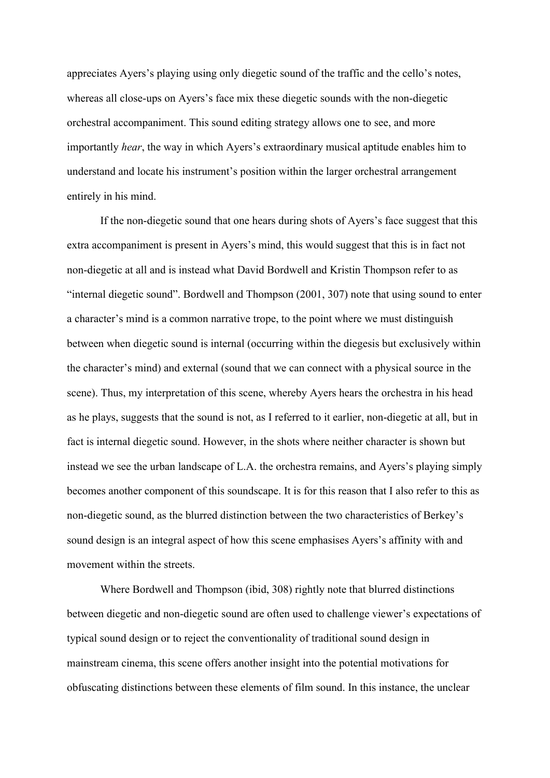appreciates Ayers's playing using only diegetic sound of the traffic and the cello's notes, whereas all close-ups on Ayers's face mix these diegetic sounds with the non-diegetic orchestral accompaniment. This sound editing strategy allows one to see, and more importantly *hear*, the way in which Ayers's extraordinary musical aptitude enables him to understand and locate his instrument's position within the larger orchestral arrangement entirely in his mind.

If the non-diegetic sound that one hears during shots of Ayers's face suggest that this extra accompaniment is present in Ayers's mind, this would suggest that this is in fact not non-diegetic at all and is instead what David Bordwell and Kristin Thompson refer to as "internal diegetic sound". Bordwell and Thompson (2001, 307) note that using sound to enter a character's mind is a common narrative trope, to the point where we must distinguish between when diegetic sound is internal (occurring within the diegesis but exclusively within the character's mind) and external (sound that we can connect with a physical source in the scene). Thus, my interpretation of this scene, whereby Ayers hears the orchestra in his head as he plays, suggests that the sound is not, as I referred to it earlier, non-diegetic at all, but in fact is internal diegetic sound. However, in the shots where neither character is shown but instead we see the urban landscape of L.A. the orchestra remains, and Ayers's playing simply becomes another component of this soundscape. It is for this reason that I also refer to this as non-diegetic sound, as the blurred distinction between the two characteristics of Berkey's sound design is an integral aspect of how this scene emphasises Ayers's affinity with and movement within the streets.

Where Bordwell and Thompson (ibid, 308) rightly note that blurred distinctions between diegetic and non-diegetic sound are often used to challenge viewer's expectations of typical sound design or to reject the conventionality of traditional sound design in mainstream cinema, this scene offers another insight into the potential motivations for obfuscating distinctions between these elements of film sound. In this instance, the unclear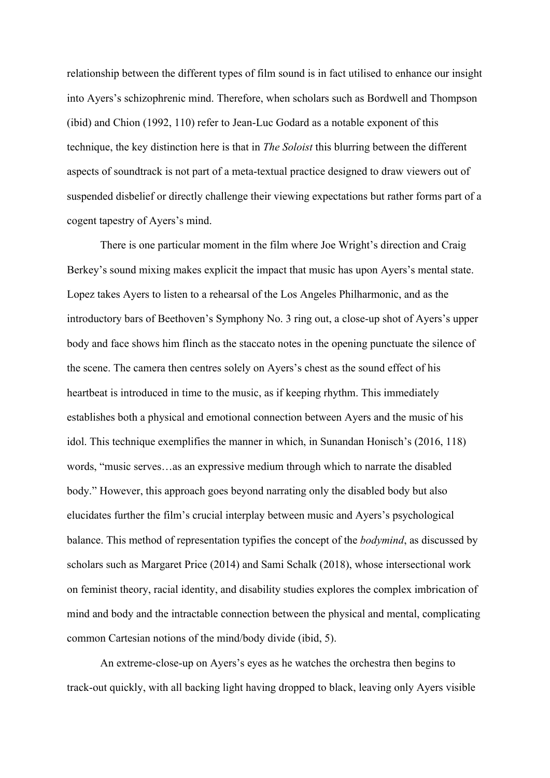relationship between the different types of film sound is in fact utilised to enhance our insight into Ayers's schizophrenic mind. Therefore, when scholars such as Bordwell and Thompson (ibid) and Chion (1992, 110) refer to Jean-Luc Godard as a notable exponent of this technique, the key distinction here is that in *The Soloist* this blurring between the different aspects of soundtrack is not part of a meta-textual practice designed to draw viewers out of suspended disbelief or directly challenge their viewing expectations but rather forms part of a cogent tapestry of Ayers's mind.

There is one particular moment in the film where Joe Wright's direction and Craig Berkey's sound mixing makes explicit the impact that music has upon Ayers's mental state. Lopez takes Ayers to listen to a rehearsal of the Los Angeles Philharmonic, and as the introductory bars of Beethoven's Symphony No. 3 ring out, a close-up shot of Ayers's upper body and face shows him flinch as the staccato notes in the opening punctuate the silence of the scene. The camera then centres solely on Ayers's chest as the sound effect of his heartbeat is introduced in time to the music, as if keeping rhythm. This immediately establishes both a physical and emotional connection between Ayers and the music of his idol. This technique exemplifies the manner in which, in Sunandan Honisch's (2016, 118) words, "music serves…as an expressive medium through which to narrate the disabled body." However, this approach goes beyond narrating only the disabled body but also elucidates further the film's crucial interplay between music and Ayers's psychological balance. This method of representation typifies the concept of the *bodymind*, as discussed by scholars such as Margaret Price (2014) and Sami Schalk (2018), whose intersectional work on feminist theory, racial identity, and disability studies explores the complex imbrication of mind and body and the intractable connection between the physical and mental, complicating common Cartesian notions of the mind/body divide (ibid, 5).

An extreme-close-up on Ayers's eyes as he watches the orchestra then begins to track-out quickly, with all backing light having dropped to black, leaving only Ayers visible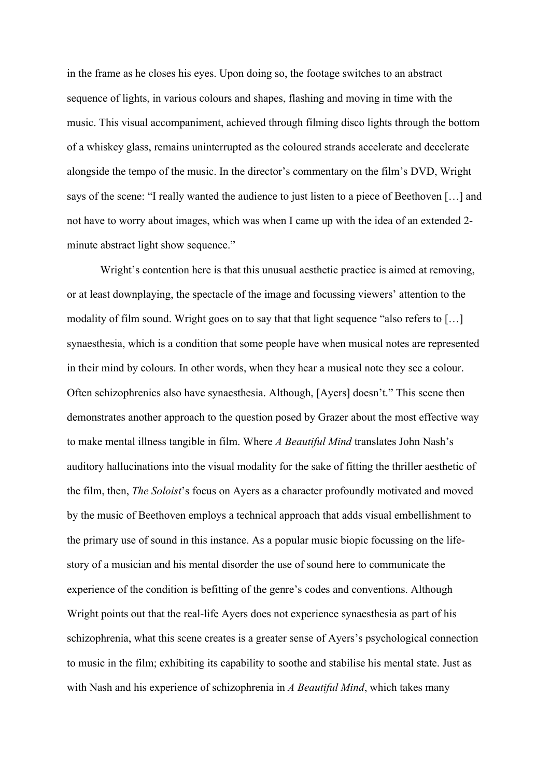in the frame as he closes his eyes. Upon doing so, the footage switches to an abstract sequence of lights, in various colours and shapes, flashing and moving in time with the music. This visual accompaniment, achieved through filming disco lights through the bottom of a whiskey glass, remains uninterrupted as the coloured strands accelerate and decelerate alongside the tempo of the music. In the director's commentary on the film's DVD, Wright says of the scene: "I really wanted the audience to just listen to a piece of Beethoven […] and not have to worry about images, which was when I came up with the idea of an extended 2 minute abstract light show sequence."

Wright's contention here is that this unusual aesthetic practice is aimed at removing, or at least downplaying, the spectacle of the image and focussing viewers' attention to the modality of film sound. Wright goes on to say that that light sequence "also refers to […] synaesthesia, which is a condition that some people have when musical notes are represented in their mind by colours. In other words, when they hear a musical note they see a colour. Often schizophrenics also have synaesthesia. Although, [Ayers] doesn't." This scene then demonstrates another approach to the question posed by Grazer about the most effective way to make mental illness tangible in film. Where *A Beautiful Mind* translates John Nash's auditory hallucinations into the visual modality for the sake of fitting the thriller aesthetic of the film, then, *The Soloist*'s focus on Ayers as a character profoundly motivated and moved by the music of Beethoven employs a technical approach that adds visual embellishment to the primary use of sound in this instance. As a popular music biopic focussing on the lifestory of a musician and his mental disorder the use of sound here to communicate the experience of the condition is befitting of the genre's codes and conventions. Although Wright points out that the real-life Ayers does not experience synaesthesia as part of his schizophrenia, what this scene creates is a greater sense of Ayers's psychological connection to music in the film; exhibiting its capability to soothe and stabilise his mental state. Just as with Nash and his experience of schizophrenia in *A Beautiful Mind*, which takes many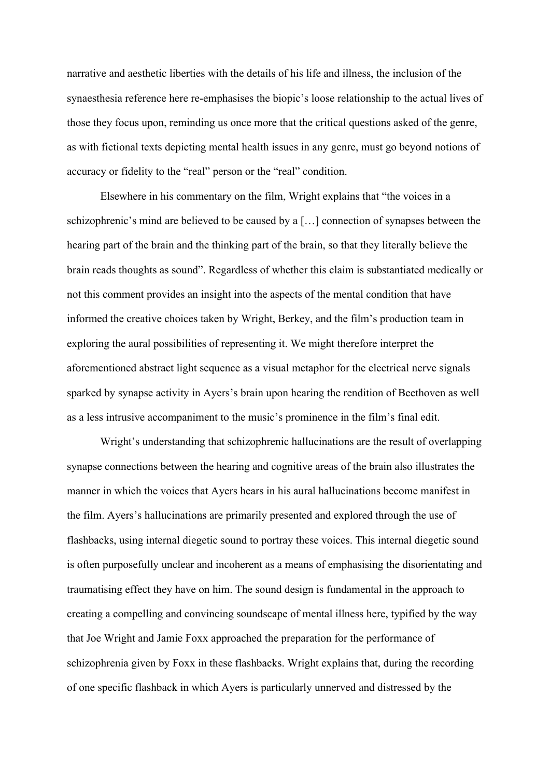narrative and aesthetic liberties with the details of his life and illness, the inclusion of the synaesthesia reference here re-emphasises the biopic's loose relationship to the actual lives of those they focus upon, reminding us once more that the critical questions asked of the genre, as with fictional texts depicting mental health issues in any genre, must go beyond notions of accuracy or fidelity to the "real" person or the "real" condition.

Elsewhere in his commentary on the film, Wright explains that "the voices in a schizophrenic's mind are believed to be caused by a […] connection of synapses between the hearing part of the brain and the thinking part of the brain, so that they literally believe the brain reads thoughts as sound". Regardless of whether this claim is substantiated medically or not this comment provides an insight into the aspects of the mental condition that have informed the creative choices taken by Wright, Berkey, and the film's production team in exploring the aural possibilities of representing it. We might therefore interpret the aforementioned abstract light sequence as a visual metaphor for the electrical nerve signals sparked by synapse activity in Ayers's brain upon hearing the rendition of Beethoven as well as a less intrusive accompaniment to the music's prominence in the film's final edit.

Wright's understanding that schizophrenic hallucinations are the result of overlapping synapse connections between the hearing and cognitive areas of the brain also illustrates the manner in which the voices that Ayers hears in his aural hallucinations become manifest in the film. Ayers's hallucinations are primarily presented and explored through the use of flashbacks, using internal diegetic sound to portray these voices. This internal diegetic sound is often purposefully unclear and incoherent as a means of emphasising the disorientating and traumatising effect they have on him. The sound design is fundamental in the approach to creating a compelling and convincing soundscape of mental illness here, typified by the way that Joe Wright and Jamie Foxx approached the preparation for the performance of schizophrenia given by Foxx in these flashbacks. Wright explains that, during the recording of one specific flashback in which Ayers is particularly unnerved and distressed by the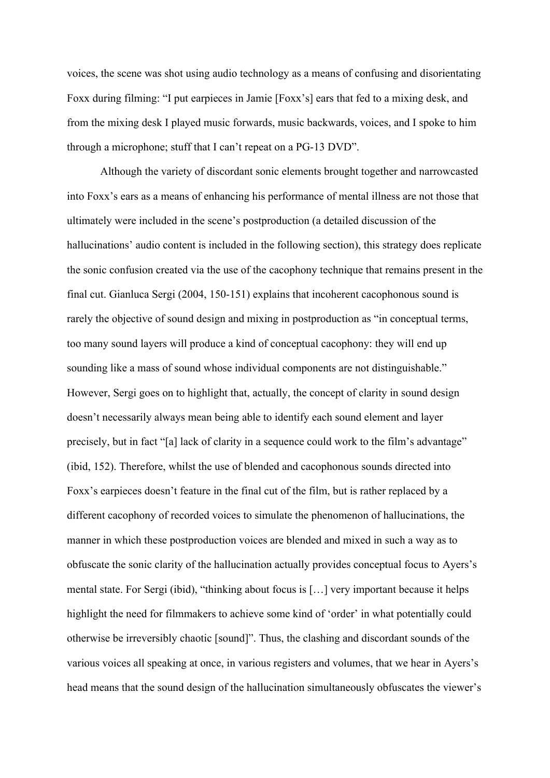voices, the scene was shot using audio technology as a means of confusing and disorientating Foxx during filming: "I put earpieces in Jamie [Foxx's] ears that fed to a mixing desk, and from the mixing desk I played music forwards, music backwards, voices, and I spoke to him through a microphone; stuff that I can't repeat on a PG-13 DVD".

Although the variety of discordant sonic elements brought together and narrowcasted into Foxx's ears as a means of enhancing his performance of mental illness are not those that ultimately were included in the scene's postproduction (a detailed discussion of the hallucinations' audio content is included in the following section), this strategy does replicate the sonic confusion created via the use of the cacophony technique that remains present in the final cut. Gianluca Sergi (2004, 150-151) explains that incoherent cacophonous sound is rarely the objective of sound design and mixing in postproduction as "in conceptual terms, too many sound layers will produce a kind of conceptual cacophony: they will end up sounding like a mass of sound whose individual components are not distinguishable." However, Sergi goes on to highlight that, actually, the concept of clarity in sound design doesn't necessarily always mean being able to identify each sound element and layer precisely, but in fact "[a] lack of clarity in a sequence could work to the film's advantage" (ibid, 152). Therefore, whilst the use of blended and cacophonous sounds directed into Foxx's earpieces doesn't feature in the final cut of the film, but is rather replaced by a different cacophony of recorded voices to simulate the phenomenon of hallucinations, the manner in which these postproduction voices are blended and mixed in such a way as to obfuscate the sonic clarity of the hallucination actually provides conceptual focus to Ayers's mental state. For Sergi (ibid), "thinking about focus is […] very important because it helps highlight the need for filmmakers to achieve some kind of 'order' in what potentially could otherwise be irreversibly chaotic [sound]". Thus, the clashing and discordant sounds of the various voices all speaking at once, in various registers and volumes, that we hear in Ayers's head means that the sound design of the hallucination simultaneously obfuscates the viewer's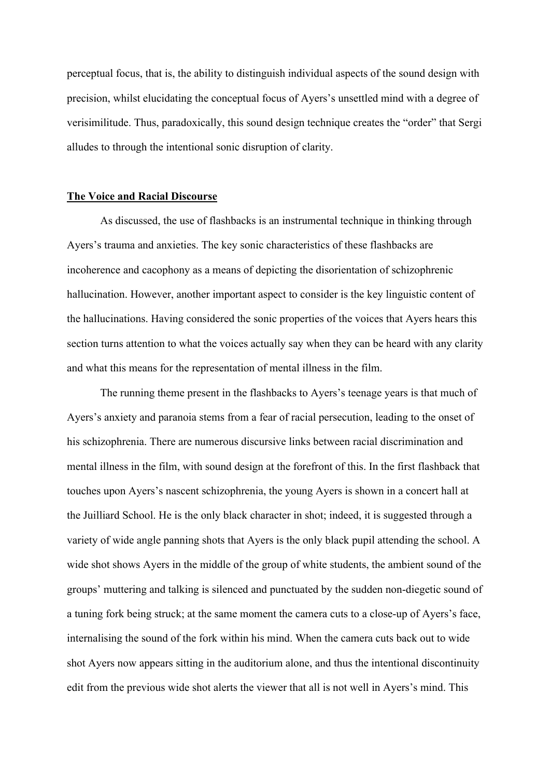perceptual focus, that is, the ability to distinguish individual aspects of the sound design with precision, whilst elucidating the conceptual focus of Ayers's unsettled mind with a degree of verisimilitude. Thus, paradoxically, this sound design technique creates the "order" that Sergi alludes to through the intentional sonic disruption of clarity.

#### **The Voice and Racial Discourse**

As discussed, the use of flashbacks is an instrumental technique in thinking through Ayers's trauma and anxieties. The key sonic characteristics of these flashbacks are incoherence and cacophony as a means of depicting the disorientation of schizophrenic hallucination. However, another important aspect to consider is the key linguistic content of the hallucinations. Having considered the sonic properties of the voices that Ayers hears this section turns attention to what the voices actually say when they can be heard with any clarity and what this means for the representation of mental illness in the film.

The running theme present in the flashbacks to Ayers's teenage years is that much of Ayers's anxiety and paranoia stems from a fear of racial persecution, leading to the onset of his schizophrenia. There are numerous discursive links between racial discrimination and mental illness in the film, with sound design at the forefront of this. In the first flashback that touches upon Ayers's nascent schizophrenia, the young Ayers is shown in a concert hall at the Juilliard School. He is the only black character in shot; indeed, it is suggested through a variety of wide angle panning shots that Ayers is the only black pupil attending the school. A wide shot shows Ayers in the middle of the group of white students, the ambient sound of the groups' muttering and talking is silenced and punctuated by the sudden non-diegetic sound of a tuning fork being struck; at the same moment the camera cuts to a close-up of Ayers's face, internalising the sound of the fork within his mind. When the camera cuts back out to wide shot Ayers now appears sitting in the auditorium alone, and thus the intentional discontinuity edit from the previous wide shot alerts the viewer that all is not well in Ayers's mind. This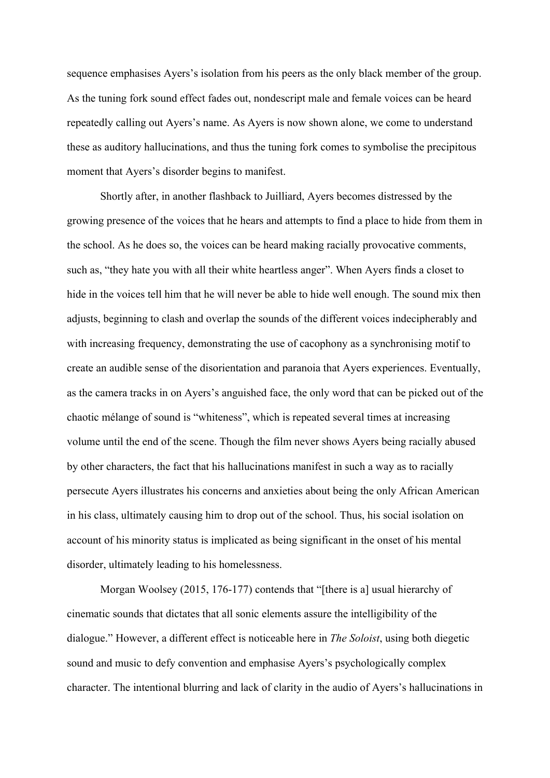sequence emphasises Ayers's isolation from his peers as the only black member of the group. As the tuning fork sound effect fades out, nondescript male and female voices can be heard repeatedly calling out Ayers's name. As Ayers is now shown alone, we come to understand these as auditory hallucinations, and thus the tuning fork comes to symbolise the precipitous moment that Ayers's disorder begins to manifest.

Shortly after, in another flashback to Juilliard, Ayers becomes distressed by the growing presence of the voices that he hears and attempts to find a place to hide from them in the school. As he does so, the voices can be heard making racially provocative comments, such as, "they hate you with all their white heartless anger". When Ayers finds a closet to hide in the voices tell him that he will never be able to hide well enough. The sound mix then adjusts, beginning to clash and overlap the sounds of the different voices indecipherably and with increasing frequency, demonstrating the use of cacophony as a synchronising motif to create an audible sense of the disorientation and paranoia that Ayers experiences. Eventually, as the camera tracks in on Ayers's anguished face, the only word that can be picked out of the chaotic mélange of sound is "whiteness", which is repeated several times at increasing volume until the end of the scene. Though the film never shows Ayers being racially abused by other characters, the fact that his hallucinations manifest in such a way as to racially persecute Ayers illustrates his concerns and anxieties about being the only African American in his class, ultimately causing him to drop out of the school. Thus, his social isolation on account of his minority status is implicated as being significant in the onset of his mental disorder, ultimately leading to his homelessness.

Morgan Woolsey (2015, 176-177) contends that "[there is a] usual hierarchy of cinematic sounds that dictates that all sonic elements assure the intelligibility of the dialogue." However, a different effect is noticeable here in *The Soloist*, using both diegetic sound and music to defy convention and emphasise Ayers's psychologically complex character. The intentional blurring and lack of clarity in the audio of Ayers's hallucinations in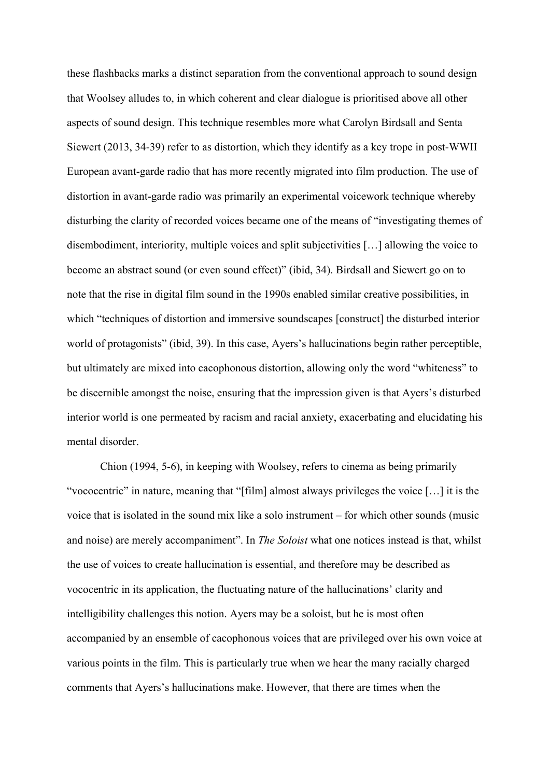these flashbacks marks a distinct separation from the conventional approach to sound design that Woolsey alludes to, in which coherent and clear dialogue is prioritised above all other aspects of sound design. This technique resembles more what Carolyn Birdsall and Senta Siewert (2013, 34-39) refer to as distortion, which they identify as a key trope in post-WWII European avant-garde radio that has more recently migrated into film production. The use of distortion in avant-garde radio was primarily an experimental voicework technique whereby disturbing the clarity of recorded voices became one of the means of "investigating themes of disembodiment, interiority, multiple voices and split subjectivities […] allowing the voice to become an abstract sound (or even sound effect)" (ibid, 34). Birdsall and Siewert go on to note that the rise in digital film sound in the 1990s enabled similar creative possibilities, in which "techniques of distortion and immersive soundscapes [construct] the disturbed interior world of protagonists" (ibid, 39). In this case, Ayers's hallucinations begin rather perceptible, but ultimately are mixed into cacophonous distortion, allowing only the word "whiteness" to be discernible amongst the noise, ensuring that the impression given is that Ayers's disturbed interior world is one permeated by racism and racial anxiety, exacerbating and elucidating his mental disorder.

Chion (1994, 5-6), in keeping with Woolsey, refers to cinema as being primarily "vococentric" in nature, meaning that "[film] almost always privileges the voice […] it is the voice that is isolated in the sound mix like a solo instrument – for which other sounds (music and noise) are merely accompaniment". In *The Soloist* what one notices instead is that, whilst the use of voices to create hallucination is essential, and therefore may be described as vococentric in its application, the fluctuating nature of the hallucinations' clarity and intelligibility challenges this notion. Ayers may be a soloist, but he is most often accompanied by an ensemble of cacophonous voices that are privileged over his own voice at various points in the film. This is particularly true when we hear the many racially charged comments that Ayers's hallucinations make. However, that there are times when the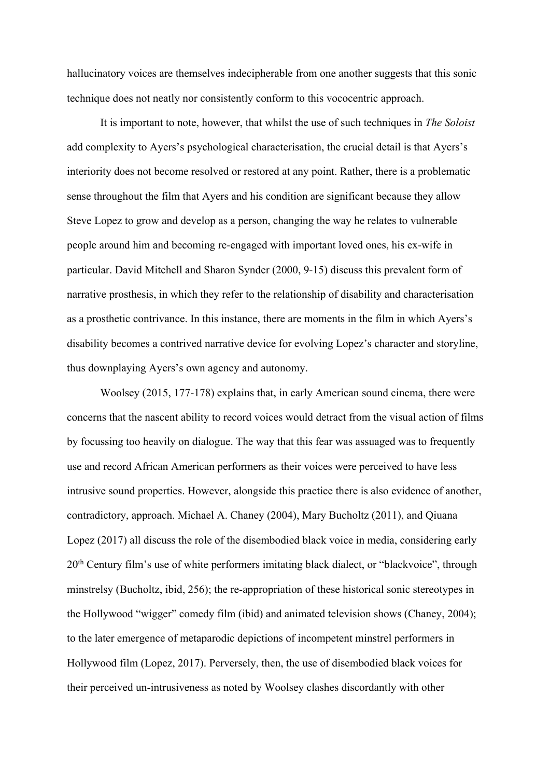hallucinatory voices are themselves indecipherable from one another suggests that this sonic technique does not neatly nor consistently conform to this vococentric approach.

It is important to note, however, that whilst the use of such techniques in *The Soloist* add complexity to Ayers's psychological characterisation, the crucial detail is that Ayers's interiority does not become resolved or restored at any point. Rather, there is a problematic sense throughout the film that Ayers and his condition are significant because they allow Steve Lopez to grow and develop as a person, changing the way he relates to vulnerable people around him and becoming re-engaged with important loved ones, his ex-wife in particular. David Mitchell and Sharon Synder (2000, 9-15) discuss this prevalent form of narrative prosthesis, in which they refer to the relationship of disability and characterisation as a prosthetic contrivance. In this instance, there are moments in the film in which Ayers's disability becomes a contrived narrative device for evolving Lopez's character and storyline, thus downplaying Ayers's own agency and autonomy.

Woolsey (2015, 177-178) explains that, in early American sound cinema, there were concerns that the nascent ability to record voices would detract from the visual action of films by focussing too heavily on dialogue. The way that this fear was assuaged was to frequently use and record African American performers as their voices were perceived to have less intrusive sound properties. However, alongside this practice there is also evidence of another, contradictory, approach. Michael A. Chaney (2004), Mary Bucholtz (2011), and Qiuana Lopez (2017) all discuss the role of the disembodied black voice in media, considering early 20<sup>th</sup> Century film's use of white performers imitating black dialect, or "blackvoice", through minstrelsy (Bucholtz, ibid, 256); the re-appropriation of these historical sonic stereotypes in the Hollywood "wigger" comedy film (ibid) and animated television shows (Chaney, 2004); to the later emergence of metaparodic depictions of incompetent minstrel performers in Hollywood film (Lopez, 2017). Perversely, then, the use of disembodied black voices for their perceived un-intrusiveness as noted by Woolsey clashes discordantly with other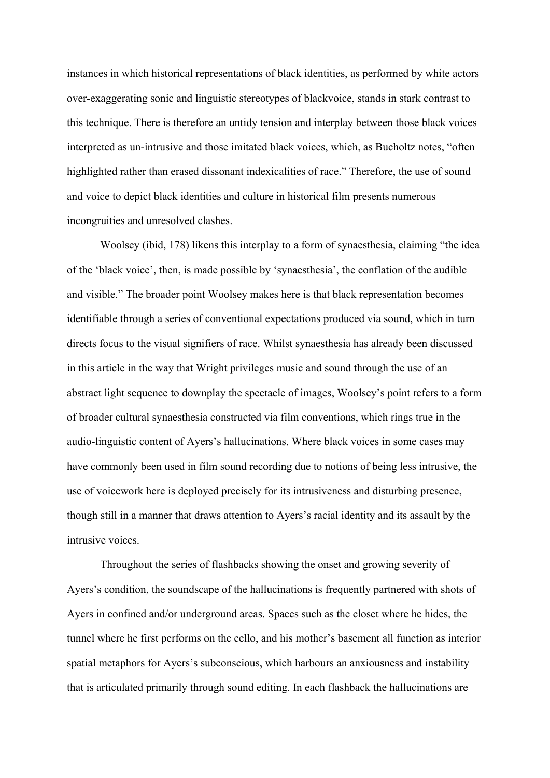instances in which historical representations of black identities, as performed by white actors over-exaggerating sonic and linguistic stereotypes of blackvoice, stands in stark contrast to this technique. There is therefore an untidy tension and interplay between those black voices interpreted as un-intrusive and those imitated black voices, which, as Bucholtz notes, "often highlighted rather than erased dissonant indexicalities of race." Therefore, the use of sound and voice to depict black identities and culture in historical film presents numerous incongruities and unresolved clashes.

Woolsey (ibid, 178) likens this interplay to a form of synaesthesia, claiming "the idea of the 'black voice', then, is made possible by 'synaesthesia', the conflation of the audible and visible." The broader point Woolsey makes here is that black representation becomes identifiable through a series of conventional expectations produced via sound, which in turn directs focus to the visual signifiers of race. Whilst synaesthesia has already been discussed in this article in the way that Wright privileges music and sound through the use of an abstract light sequence to downplay the spectacle of images, Woolsey's point refers to a form of broader cultural synaesthesia constructed via film conventions, which rings true in the audio-linguistic content of Ayers's hallucinations. Where black voices in some cases may have commonly been used in film sound recording due to notions of being less intrusive, the use of voicework here is deployed precisely for its intrusiveness and disturbing presence, though still in a manner that draws attention to Ayers's racial identity and its assault by the intrusive voices.

Throughout the series of flashbacks showing the onset and growing severity of Ayers's condition, the soundscape of the hallucinations is frequently partnered with shots of Ayers in confined and/or underground areas. Spaces such as the closet where he hides, the tunnel where he first performs on the cello, and his mother's basement all function as interior spatial metaphors for Ayers's subconscious, which harbours an anxiousness and instability that is articulated primarily through sound editing. In each flashback the hallucinations are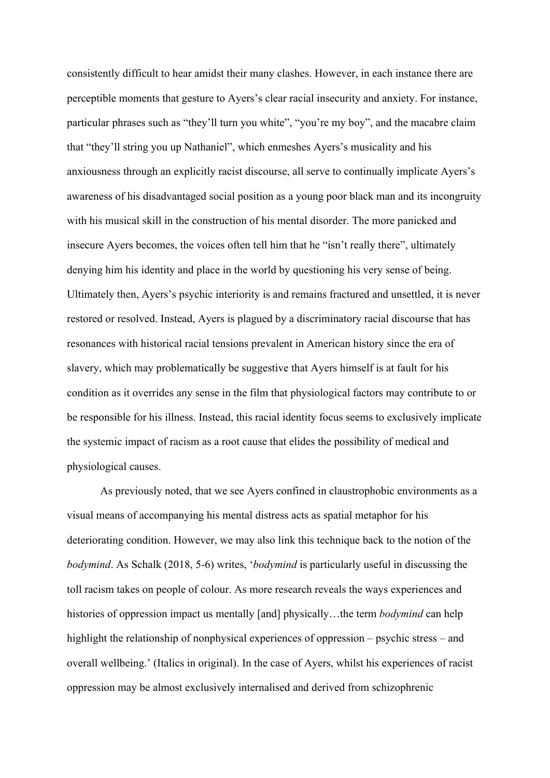consistently difficult to hear amidst their many clashes. However, in each instance there are perceptible moments that gesture to Ayers's clear racial insecurity and anxiety. For instance, particular phrases such as "they'll turn you white", "you're my boy", and the macabre claim that "they'll string you up Nathaniel", which enmeshes Ayers's musicality and his anxiousness through an explicitly racist discourse, all serve to continually implicate Ayers's awareness of his disadvantaged social position as a young poor black man and its incongruity with his musical skill in the construction of his mental disorder. The more panicked and insecure Ayers becomes, the voices often tell him that he "isn't really there", ultimately denying him his identity and place in the world by questioning his very sense of being. Ultimately then, Ayers's psychic interiority is and remains fractured and unsettled, it is never restored or resolved. Instead, Ayers is plagued by a discriminatory racial discourse that has resonances with historical racial tensions prevalent in American history since the era of slavery, which may problematically be suggestive that Ayers himself is at fault for his condition as it overrides any sense in the film that physiological factors may contribute to or be responsible for his illness. Instead, this racial identity focus seems to exclusively implicate the systemic impact of racism as a root cause that elides the possibility of medical and physiological causes.

As previously noted, that we see Ayers confined in claustrophobic environments as a visual means of accompanying his mental distress acts as spatial metaphor for his deteriorating condition. However, we may also link this technique back to the notion of the *bodymind*. As Schalk (2018, 5-6) writes, '*bodymind* is particularly useful in discussing the toll racism takes on people of colour. As more research reveals the ways experiences and histories of oppression impact us mentally [and] physically...the term *bodymind* can help highlight the relationship of nonphysical experiences of oppression – psychic stress – and overall wellbeing.' (Italics in original). In the case of Ayers, whilst his experiences of racist oppression may be almost exclusively internalised and derived from schizophrenic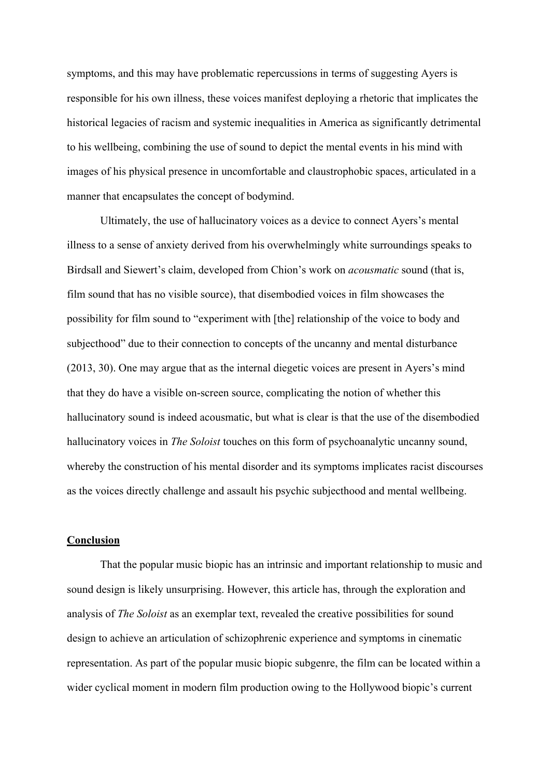symptoms, and this may have problematic repercussions in terms of suggesting Ayers is responsible for his own illness, these voices manifest deploying a rhetoric that implicates the historical legacies of racism and systemic inequalities in America as significantly detrimental to his wellbeing, combining the use of sound to depict the mental events in his mind with images of his physical presence in uncomfortable and claustrophobic spaces, articulated in a manner that encapsulates the concept of bodymind.

Ultimately, the use of hallucinatory voices as a device to connect Ayers's mental illness to a sense of anxiety derived from his overwhelmingly white surroundings speaks to Birdsall and Siewert's claim, developed from Chion's work on *acousmatic* sound (that is, film sound that has no visible source), that disembodied voices in film showcases the possibility for film sound to "experiment with [the] relationship of the voice to body and subjecthood" due to their connection to concepts of the uncanny and mental disturbance (2013, 30). One may argue that as the internal diegetic voices are present in Ayers's mind that they do have a visible on-screen source, complicating the notion of whether this hallucinatory sound is indeed acousmatic, but what is clear is that the use of the disembodied hallucinatory voices in *The Soloist* touches on this form of psychoanalytic uncanny sound, whereby the construction of his mental disorder and its symptoms implicates racist discourses as the voices directly challenge and assault his psychic subjecthood and mental wellbeing.

## **Conclusion**

That the popular music biopic has an intrinsic and important relationship to music and sound design is likely unsurprising. However, this article has, through the exploration and analysis of *The Soloist* as an exemplar text, revealed the creative possibilities for sound design to achieve an articulation of schizophrenic experience and symptoms in cinematic representation. As part of the popular music biopic subgenre, the film can be located within a wider cyclical moment in modern film production owing to the Hollywood biopic's current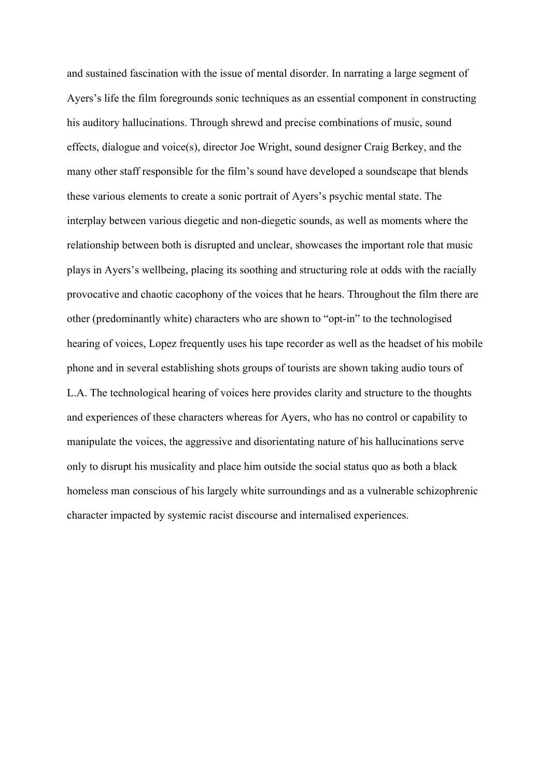and sustained fascination with the issue of mental disorder. In narrating a large segment of Ayers's life the film foregrounds sonic techniques as an essential component in constructing his auditory hallucinations. Through shrewd and precise combinations of music, sound effects, dialogue and voice(s), director Joe Wright, sound designer Craig Berkey, and the many other staff responsible for the film's sound have developed a soundscape that blends these various elements to create a sonic portrait of Ayers's psychic mental state. The interplay between various diegetic and non-diegetic sounds, as well as moments where the relationship between both is disrupted and unclear, showcases the important role that music plays in Ayers's wellbeing, placing its soothing and structuring role at odds with the racially provocative and chaotic cacophony of the voices that he hears. Throughout the film there are other (predominantly white) characters who are shown to "opt-in" to the technologised hearing of voices, Lopez frequently uses his tape recorder as well as the headset of his mobile phone and in several establishing shots groups of tourists are shown taking audio tours of L.A. The technological hearing of voices here provides clarity and structure to the thoughts and experiences of these characters whereas for Ayers, who has no control or capability to manipulate the voices, the aggressive and disorientating nature of his hallucinations serve only to disrupt his musicality and place him outside the social status quo as both a black homeless man conscious of his largely white surroundings and as a vulnerable schizophrenic character impacted by systemic racist discourse and internalised experiences.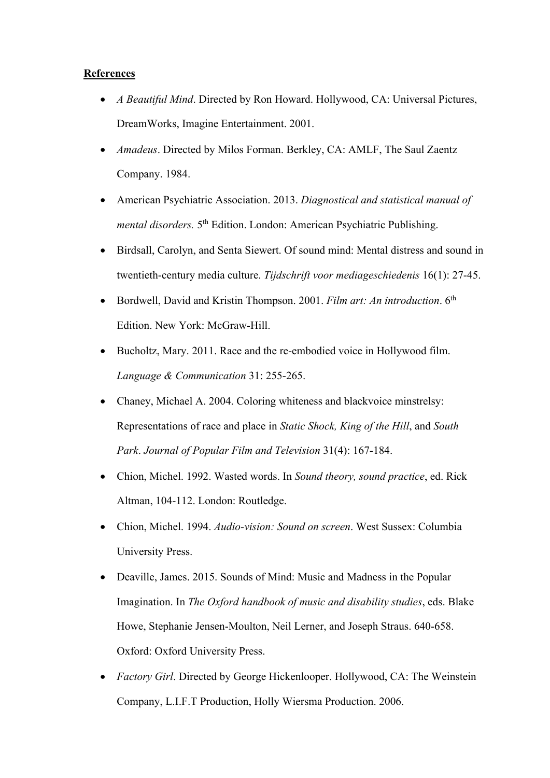## **References**

- *A Beautiful Mind*. Directed by Ron Howard. Hollywood, CA: Universal Pictures, DreamWorks, Imagine Entertainment. 2001.
- *Amadeus*. Directed by Milos Forman. Berkley, CA: AMLF, The Saul Zaentz Company. 1984.
- American Psychiatric Association. 2013. *Diagnostical and statistical manual of mental disorders.* 5<sup>th</sup> Edition. London: American Psychiatric Publishing.
- Birdsall, Carolyn, and Senta Siewert. Of sound mind: Mental distress and sound in twentieth-century media culture. *Tijdschrift voor mediageschiedenis* 16(1): 27-45.
- Bordwell, David and Kristin Thompson. 2001. *Film art: An introduction*. 6th Edition. New York: McGraw-Hill.
- Bucholtz, Mary. 2011. Race and the re-embodied voice in Hollywood film. *Language & Communication* 31: 255-265.
- Chaney, Michael A. 2004. Coloring whiteness and blackvoice minstrelsy: Representations of race and place in *Static Shock, King of the Hill*, and *South Park*. *Journal of Popular Film and Television* 31(4): 167-184.
- Chion, Michel. 1992. Wasted words. In *Sound theory, sound practice*, ed. Rick Altman, 104-112. London: Routledge.
- Chion, Michel. 1994. *Audio-vision: Sound on screen*. West Sussex: Columbia University Press.
- Deaville, James. 2015. Sounds of Mind: Music and Madness in the Popular Imagination. In *The Oxford handbook of music and disability studies*, eds. Blake Howe, Stephanie Jensen-Moulton, Neil Lerner, and Joseph Straus. 640-658. Oxford: Oxford University Press.
- *Factory Girl*. Directed by George Hickenlooper. Hollywood, CA: The Weinstein Company, L.I.F.T Production, Holly Wiersma Production. 2006.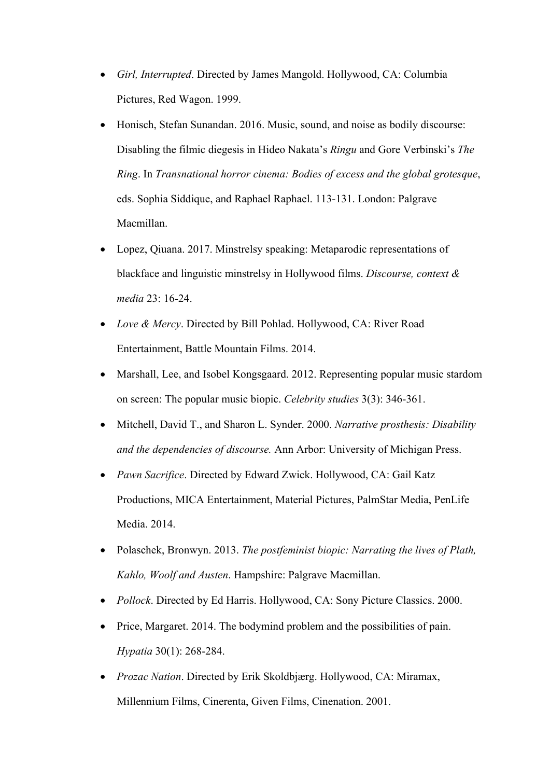- *Girl, Interrupted*. Directed by James Mangold. Hollywood, CA: Columbia Pictures, Red Wagon. 1999.
- Honisch, Stefan Sunandan. 2016. Music, sound, and noise as bodily discourse: Disabling the filmic diegesis in Hideo Nakata's *Ringu* and Gore Verbinski's *The Ring*. In *Transnational horror cinema: Bodies of excess and the global grotesque*, eds. Sophia Siddique, and Raphael Raphael. 113-131. London: Palgrave Macmillan.
- Lopez, Qiuana. 2017. Minstrelsy speaking: Metaparodic representations of blackface and linguistic minstrelsy in Hollywood films. *Discourse, context & media* 23: 16-24.
- *Love & Mercy*. Directed by Bill Pohlad. Hollywood, CA: River Road Entertainment, Battle Mountain Films. 2014.
- Marshall, Lee, and Isobel Kongsgaard. 2012. Representing popular music stardom on screen: The popular music biopic. *Celebrity studies* 3(3): 346-361.
- Mitchell, David T., and Sharon L. Synder. 2000. *Narrative prosthesis: Disability and the dependencies of discourse.* Ann Arbor: University of Michigan Press.
- *Pawn Sacrifice*. Directed by Edward Zwick. Hollywood, CA: Gail Katz Productions, MICA Entertainment, Material Pictures, PalmStar Media, PenLife Media. 2014.
- Polaschek, Bronwyn. 2013. *The postfeminist biopic: Narrating the lives of Plath, Kahlo, Woolf and Austen*. Hampshire: Palgrave Macmillan.
- *Pollock*. Directed by Ed Harris. Hollywood, CA: Sony Picture Classics. 2000.
- Price, Margaret. 2014. The bodymind problem and the possibilities of pain. *Hypatia* 30(1): 268-284.
- *Prozac Nation*. Directed by Erik Skoldbjærg. Hollywood, CA: Miramax, Millennium Films, Cinerenta, Given Films, Cinenation. 2001.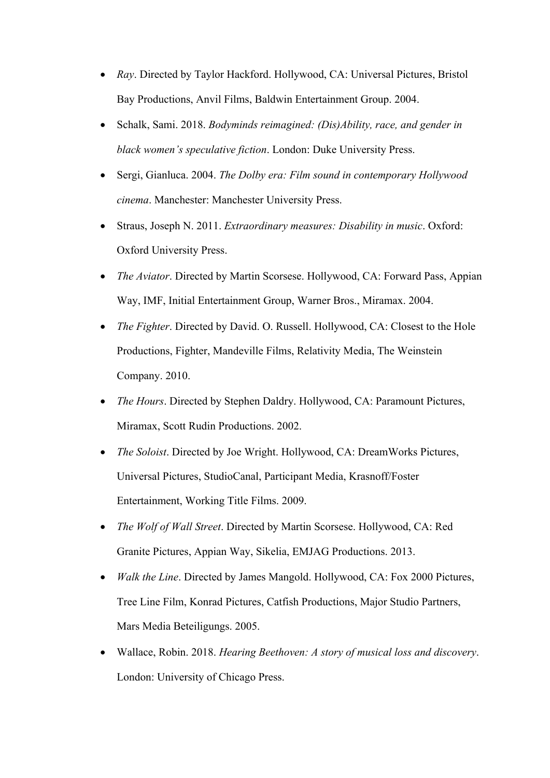- *Ray*. Directed by Taylor Hackford. Hollywood, CA: Universal Pictures, Bristol Bay Productions, Anvil Films, Baldwin Entertainment Group. 2004.
- Schalk, Sami. 2018. *Bodyminds reimagined: (Dis)Ability, race, and gender in black women's speculative fiction*. London: Duke University Press.
- Sergi, Gianluca. 2004. *The Dolby era: Film sound in contemporary Hollywood cinema*. Manchester: Manchester University Press.
- Straus, Joseph N. 2011. *Extraordinary measures: Disability in music*. Oxford: Oxford University Press.
- *The Aviator*. Directed by Martin Scorsese. Hollywood, CA: Forward Pass, Appian Way, IMF, Initial Entertainment Group, Warner Bros., Miramax. 2004.
- *The Fighter*. Directed by David. O. Russell. Hollywood, CA: Closest to the Hole Productions, Fighter, Mandeville Films, Relativity Media, The Weinstein Company. 2010.
- *The Hours*. Directed by Stephen Daldry. Hollywood, CA: Paramount Pictures, Miramax, Scott Rudin Productions. 2002.
- *The Soloist*. Directed by Joe Wright. Hollywood, CA: DreamWorks Pictures, Universal Pictures, StudioCanal, Participant Media, Krasnoff/Foster Entertainment, Working Title Films. 2009.
- *The Wolf of Wall Street*. Directed by Martin Scorsese. Hollywood, CA: Red Granite Pictures, Appian Way, Sikelia, EMJAG Productions. 2013.
- *Walk the Line*. Directed by James Mangold. Hollywood, CA: Fox 2000 Pictures, Tree Line Film, Konrad Pictures, Catfish Productions, Major Studio Partners, Mars Media Beteiligungs. 2005.
- Wallace, Robin. 2018. *Hearing Beethoven: A story of musical loss and discovery*. London: University of Chicago Press.